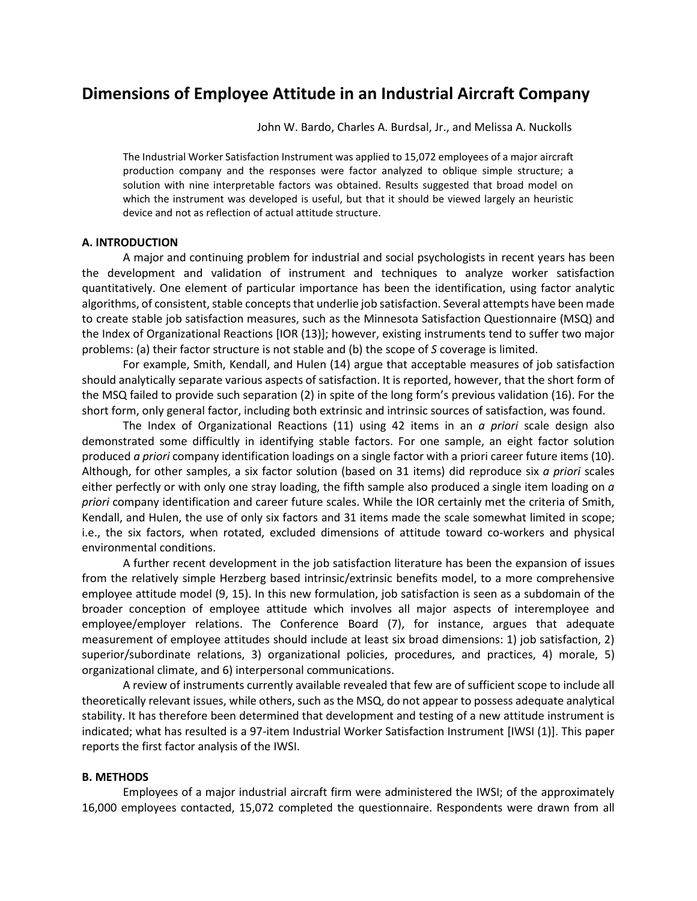# **Dimensions of Employee Attitude in an Industrial Aircraft Company**

John W. Bardo, Charles A. Burdsal, Jr., and Melissa A. Nuckolls

The Industrial Worker Satisfaction Instrument was applied to 15,072 employees of a major aircraft production company and the responses were factor analyzed to oblique simple structure; a solution with nine interpretable factors was obtained. Results suggested that broad model on which the instrument was developed is useful, but that it should be viewed largely an heuristic device and not as reflection of actual attitude structure.

### **A. INTRODUCTION**

A major and continuing problem for industrial and social psychologists in recent years has been the development and validation of instrument and techniques to analyze worker satisfaction quantitatively. One element of particular importance has been the identification, using factor analytic algorithms, of consistent, stable concepts that underlie job satisfaction. Several attempts have been made to create stable job satisfaction measures, such as the Minnesota Satisfaction Questionnaire (MSQ) and the Index of Organizational Reactions [IOR (13)]; however, existing instruments tend to suffer two major problems: (a) their factor structure is not stable and (b) the scope of *S* coverage is limited.

For example, Smith, Kendall, and Hulen (14) argue that acceptable measures of job satisfaction should analytically separate various aspects of satisfaction. It is reported, however, that the short form of the MSQ failed to provide such separation (2) in spite of the long form's previous validation (16). For the short form, only general factor, including both extrinsic and intrinsic sources of satisfaction, was found.

The Index of Organizational Reactions (11) using 42 items in an *a priori* scale design also demonstrated some difficultly in identifying stable factors. For one sample, an eight factor solution produced *a priori* company identification loadings on a single factor with a priori career future items (10). Although, for other samples, a six factor solution (based on 31 items) did reproduce six *a priori* scales either perfectly or with only one stray loading, the fifth sample also produced a single item loading on *a priori* company identification and career future scales. While the IOR certainly met the criteria of Smith, Kendall, and Hulen, the use of only six factors and 31 items made the scale somewhat limited in scope; i.e., the six factors, when rotated, excluded dimensions of attitude toward co-workers and physical environmental conditions.

A further recent development in the job satisfaction literature has been the expansion of issues from the relatively simple Herzberg based intrinsic/extrinsic benefits model, to a more comprehensive employee attitude model (9, 15). In this new formulation, job satisfaction is seen as a subdomain of the broader conception of employee attitude which involves all major aspects of interemployee and employee/employer relations. The Conference Board (7), for instance, argues that adequate measurement of employee attitudes should include at least six broad dimensions: 1) job satisfaction, 2) superior/subordinate relations, 3) organizational policies, procedures, and practices, 4) morale, 5) organizational climate, and 6) interpersonal communications.

A review of instruments currently available revealed that few are of sufficient scope to include all theoretically relevant issues, while others, such as the MSQ, do not appear to possess adequate analytical stability. It has therefore been determined that development and testing of a new attitude instrument is indicated; what has resulted is a 97-item Industrial Worker Satisfaction Instrument [IWSI (1)]. This paper reports the first factor analysis of the IWSI.

#### **B. METHODS**

Employees of a major industrial aircraft firm were administered the IWSI; of the approximately 16,000 employees contacted, 15,072 completed the questionnaire. Respondents were drawn from all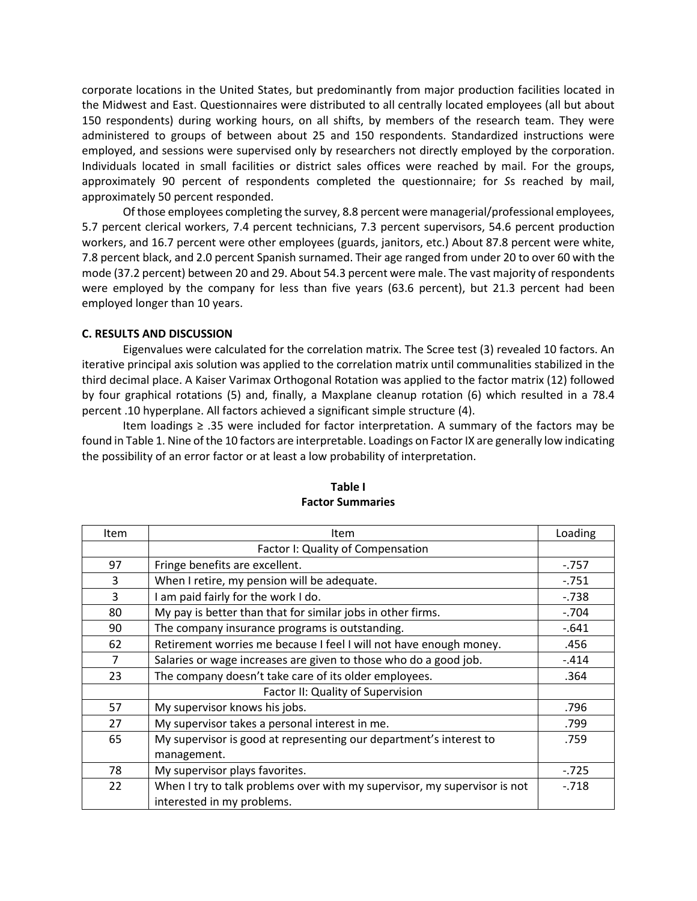corporate locations in the United States, but predominantly from major production facilities located in the Midwest and East. Questionnaires were distributed to all centrally located employees (all but about 150 respondents) during working hours, on all shifts, by members of the research team. They were administered to groups of between about 25 and 150 respondents. Standardized instructions were employed, and sessions were supervised only by researchers not directly employed by the corporation. Individuals located in small facilities or district sales offices were reached by mail. For the groups, approximately 90 percent of respondents completed the questionnaire; for *S*s reached by mail, approximately 50 percent responded.

Of those employees completing the survey, 8.8 percent were managerial/professional employees, 5.7 percent clerical workers, 7.4 percent technicians, 7.3 percent supervisors, 54.6 percent production workers, and 16.7 percent were other employees (guards, janitors, etc.) About 87.8 percent were white, 7.8 percent black, and 2.0 percent Spanish surnamed. Their age ranged from under 20 to over 60 with the mode (37.2 percent) between 20 and 29. About 54.3 percent were male. The vast majority of respondents were employed by the company for less than five years (63.6 percent), but 21.3 percent had been employed longer than 10 years.

# **C. RESULTS AND DISCUSSION**

Eigenvalues were calculated for the correlation matrix. The Scree test (3) revealed 10 factors. An iterative principal axis solution was applied to the correlation matrix until communalities stabilized in the third decimal place. A Kaiser Varimax Orthogonal Rotation was applied to the factor matrix (12) followed by four graphical rotations (5) and, finally, a Maxplane cleanup rotation (6) which resulted in a 78.4 percent .10 hyperplane. All factors achieved a significant simple structure (4).

Item loadings ≥ .35 were included for factor interpretation. A summary of the factors may be found in Table 1. Nine of the 10 factors are interpretable. Loadings on Factor IX are generally low indicating the possibility of an error factor or at least a low probability of interpretation.

| <b>Item</b> | Item                                                                      | Loading  |
|-------------|---------------------------------------------------------------------------|----------|
|             | Factor I: Quality of Compensation                                         |          |
| 97          | Fringe benefits are excellent.                                            | $-0.757$ |
| 3           | When I retire, my pension will be adequate.                               | $-751$   |
| 3           | I am paid fairly for the work I do.                                       | $-738$   |
| 80          | My pay is better than that for similar jobs in other firms.               | $-.704$  |
| 90          | The company insurance programs is outstanding.                            | $-641$   |
| 62          | Retirement worries me because I feel I will not have enough money.        | .456     |
| 7           | Salaries or wage increases are given to those who do a good job.          | $-.414$  |
| 23          | The company doesn't take care of its older employees.                     | .364     |
|             | Factor II: Quality of Supervision                                         |          |
| 57          | My supervisor knows his jobs.                                             | .796     |
| 27          | My supervisor takes a personal interest in me.                            | .799     |
| 65          | My supervisor is good at representing our department's interest to        | .759     |
|             | management.                                                               |          |
| 78          | My supervisor plays favorites.                                            | $-725$   |
| 22          | When I try to talk problems over with my supervisor, my supervisor is not | $-718$   |
|             | interested in my problems.                                                |          |

**Table I Factor Summaries**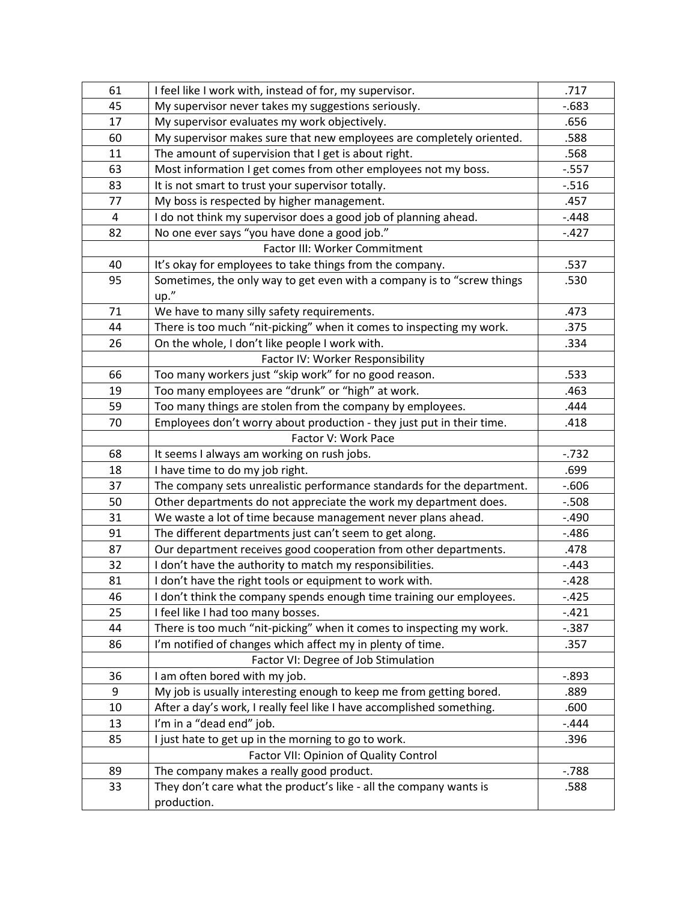| 61 | I feel like I work with, instead of for, my supervisor.                        | .717     |
|----|--------------------------------------------------------------------------------|----------|
| 45 | My supervisor never takes my suggestions seriously.                            | $-683$   |
| 17 | My supervisor evaluates my work objectively.                                   | .656     |
| 60 | My supervisor makes sure that new employees are completely oriented.           | .588     |
| 11 | The amount of supervision that I get is about right.                           | .568     |
| 63 | Most information I get comes from other employees not my boss.                 | $-0.557$ |
| 83 | It is not smart to trust your supervisor totally.                              | $-0.516$ |
| 77 | My boss is respected by higher management.                                     | .457     |
| 4  | I do not think my supervisor does a good job of planning ahead.                | $-.448$  |
| 82 | No one ever says "you have done a good job."                                   | $-.427$  |
|    | Factor III: Worker Commitment                                                  |          |
| 40 | It's okay for employees to take things from the company.                       | .537     |
| 95 | Sometimes, the only way to get even with a company is to "screw things<br>up." | .530     |
| 71 | We have to many silly safety requirements.                                     | .473     |
| 44 | There is too much "nit-picking" when it comes to inspecting my work.           | .375     |
| 26 | On the whole, I don't like people I work with.                                 | .334     |
|    | Factor IV: Worker Responsibility                                               |          |
| 66 | Too many workers just "skip work" for no good reason.                          | .533     |
| 19 | Too many employees are "drunk" or "high" at work.                              | .463     |
| 59 | Too many things are stolen from the company by employees.                      | .444     |
| 70 | Employees don't worry about production - they just put in their time.          | .418     |
|    | Factor V: Work Pace                                                            |          |
| 68 | It seems I always am working on rush jobs.                                     | $-732$   |
| 18 | I have time to do my job right.                                                | .699     |
| 37 | The company sets unrealistic performance standards for the department.         | $-0.606$ |
| 50 | Other departments do not appreciate the work my department does.               | $-508$   |
| 31 | We waste a lot of time because management never plans ahead.                   | $-.490$  |
| 91 | The different departments just can't seem to get along.                        | $-.486$  |
| 87 | Our department receives good cooperation from other departments.               | .478     |
| 32 | I don't have the authority to match my responsibilities.                       | $-.443$  |
| 81 | I don't have the right tools or equipment to work with.                        | $-.428$  |
| 46 | I don't think the company spends enough time training our employees.           | -.425    |
| 25 | I feel like I had too many bosses.                                             | $-.421$  |
| 44 | There is too much "nit-picking" when it comes to inspecting my work.           | $-0.387$ |
| 86 | I'm notified of changes which affect my in plenty of time.                     | .357     |
|    | Factor VI: Degree of Job Stimulation                                           |          |
| 36 | I am often bored with my job.                                                  | $-0.893$ |
| 9  | My job is usually interesting enough to keep me from getting bored.            | .889     |
| 10 | After a day's work, I really feel like I have accomplished something.          | .600     |
| 13 | I'm in a "dead end" job.                                                       | $-.444$  |
| 85 | I just hate to get up in the morning to go to work.                            | .396     |
|    | Factor VII: Opinion of Quality Control                                         |          |
| 89 | The company makes a really good product.                                       | $-0.788$ |
| 33 | They don't care what the product's like - all the company wants is             | .588     |
|    | production.                                                                    |          |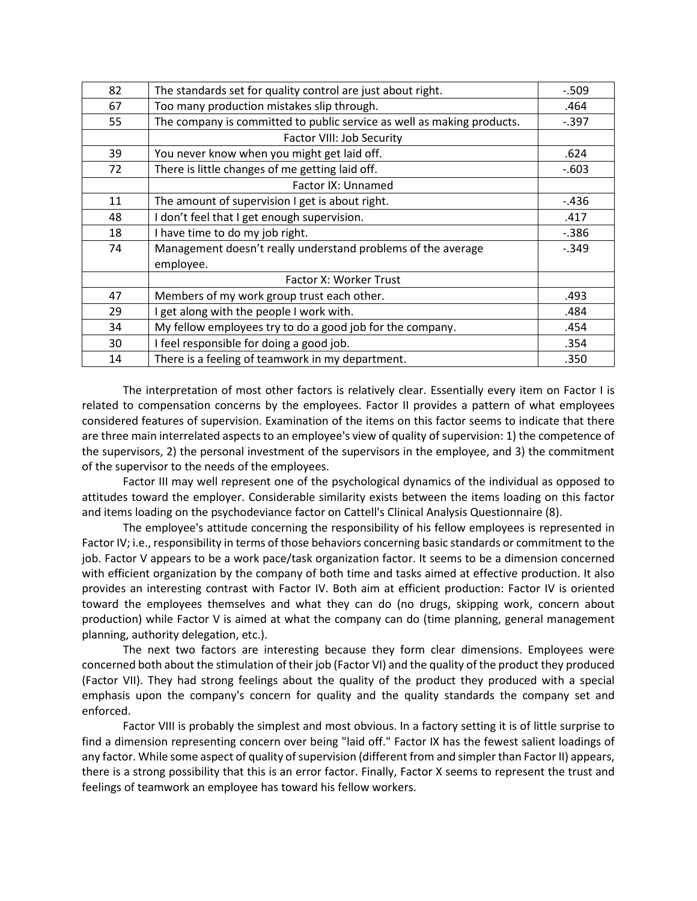| 82 | The standards set for quality control are just about right.            | $-.509$ |
|----|------------------------------------------------------------------------|---------|
| 67 | Too many production mistakes slip through.                             | .464    |
| 55 | The company is committed to public service as well as making products. | $-.397$ |
|    | Factor VIII: Job Security                                              |         |
| 39 | You never know when you might get laid off.                            | .624    |
| 72 | There is little changes of me getting laid off.                        | $-603$  |
|    | Factor IX: Unnamed                                                     |         |
| 11 | The amount of supervision I get is about right.                        | $-.436$ |
| 48 | I don't feel that I get enough supervision.                            | .417    |
| 18 | I have time to do my job right.                                        | $-386$  |
| 74 | Management doesn't really understand problems of the average           | $-.349$ |
|    | employee.                                                              |         |
|    | Factor X: Worker Trust                                                 |         |
| 47 | Members of my work group trust each other.                             | .493    |
| 29 | get along with the people I work with.                                 | .484    |
| 34 | My fellow employees try to do a good job for the company.              | .454    |
| 30 | I feel responsible for doing a good job.                               | .354    |
| 14 | There is a feeling of teamwork in my department.                       | .350    |

The interpretation of most other factors is relatively clear. Essentially every item on Factor I is related to compensation concerns by the employees. Factor II provides a pattern of what employees considered features of supervision. Examination of the items on this factor seems to indicate that there are three main interrelated aspects to an employee's view of quality of supervision: 1) the competence of the supervisors, 2) the personal investment of the supervisors in the employee, and 3) the commitment of the supervisor to the needs of the employees.

Factor III may well represent one of the psychological dynamics of the individual as opposed to attitudes toward the employer. Considerable similarity exists between the items loading on this factor and items loading on the psychodeviance factor on Cattell's Clinical Analysis Questionnaire (8).

The employee's attitude concerning the responsibility of his fellow employees is represented in Factor IV; i.e., responsibility in terms of those behaviors concerning basic standards or commitment to the job. Factor V appears to be a work pace/task organization factor. It seems to be a dimension concerned with efficient organization by the company of both time and tasks aimed at effective production. It also provides an interesting contrast with Factor IV. Both aim at efficient production: Factor IV is oriented toward the employees themselves and what they can do (no drugs, skipping work, concern about production) while Factor V is aimed at what the company can do (time planning, general management planning, authority delegation, etc.).

The next two factors are interesting because they form clear dimensions. Employees were concerned both about the stimulation of their job (Factor VI) and the quality of the product they produced (Factor VII). They had strong feelings about the quality of the product they produced with a special emphasis upon the company's concern for quality and the quality standards the company set and enforced.

Factor VIII is probably the simplest and most obvious. In a factory setting it is of little surprise to find a dimension representing concern over being "laid off." Factor IX has the fewest salient loadings of any factor. While some aspect of quality of supervision (different from and simpler than Factor II) appears, there is a strong possibility that this is an error factor. Finally, Factor X seems to represent the trust and feelings of teamwork an employee has toward his fellow workers.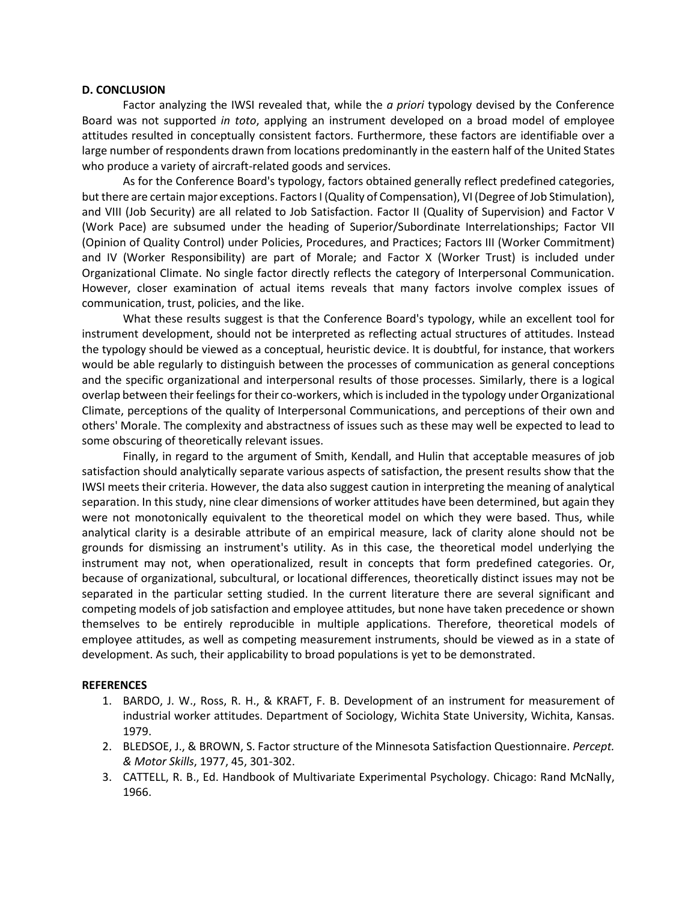### **D. CONCLUSION**

Factor analyzing the IWSI revealed that, while the *a priori* typology devised by the Conference Board was not supported *in toto*, applying an instrument developed on a broad model of employee attitudes resulted in conceptually consistent factors. Furthermore, these factors are identifiable over a large number of respondents drawn from locations predominantly in the eastern half of the United States who produce a variety of aircraft-related goods and services.

As for the Conference Board's typology, factors obtained generally reflect predefined categories, but there are certain major exceptions. Factors I (Quality of Compensation), VI (Degree of Job Stimulation), and VIII (Job Security) are all related to Job Satisfaction. Factor II (Quality of Supervision) and Factor V (Work Pace) are subsumed under the heading of Superior/Subordinate Interrelationships; Factor VII (Opinion of Quality Control) under Policies, Procedures, and Practices; Factors III (Worker Commitment) and IV (Worker Responsibility) are part of Morale; and Factor X (Worker Trust) is included under Organizational Climate. No single factor directly reflects the category of Interpersonal Communication. However, closer examination of actual items reveals that many factors involve complex issues of communication, trust, policies, and the like.

What these results suggest is that the Conference Board's typology, while an excellent tool for instrument development, should not be interpreted as reflecting actual structures of attitudes. Instead the typology should be viewed as a conceptual, heuristic device. It is doubtful, for instance, that workers would be able regularly to distinguish between the processes of communication as general conceptions and the specific organizational and interpersonal results of those processes. Similarly, there is a logical overlap between their feelings for their co-workers, which is included in the typology under Organizational Climate, perceptions of the quality of Interpersonal Communications, and perceptions of their own and others' Morale. The complexity and abstractness of issues such as these may well be expected to lead to some obscuring of theoretically relevant issues.

Finally, in regard to the argument of Smith, Kendall, and Hulin that acceptable measures of job satisfaction should analytically separate various aspects of satisfaction, the present results show that the IWSI meets their criteria. However, the data also suggest caution in interpreting the meaning of analytical separation. In this study, nine clear dimensions of worker attitudes have been determined, but again they were not monotonically equivalent to the theoretical model on which they were based. Thus, while analytical clarity is a desirable attribute of an empirical measure, lack of clarity alone should not be grounds for dismissing an instrument's utility. As in this case, the theoretical model underlying the instrument may not, when operationalized, result in concepts that form predefined categories. Or, because of organizational, subcultural, or locational differences, theoretically distinct issues may not be separated in the particular setting studied. In the current literature there are several significant and competing models of job satisfaction and employee attitudes, but none have taken precedence or shown themselves to be entirely reproducible in multiple applications. Therefore, theoretical models of employee attitudes, as well as competing measurement instruments, should be viewed as in a state of development. As such, their applicability to broad populations is yet to be demonstrated.

## **REFERENCES**

- 1. BARDO, J. W., Ross, R. H., & KRAFT, F. B. Development of an instrument for measurement of industrial worker attitudes. Department of Sociology, Wichita State University, Wichita, Kansas. 1979.
- 2. BLEDSOE, J., & BROWN, S. Factor structure of the Minnesota Satisfaction Questionnaire. *Percept. & Motor Skills*, 1977, 45, 301-302.
- 3. CATTELL, R. B., Ed. Handbook of Multivariate Experimental Psychology. Chicago: Rand McNally, 1966.